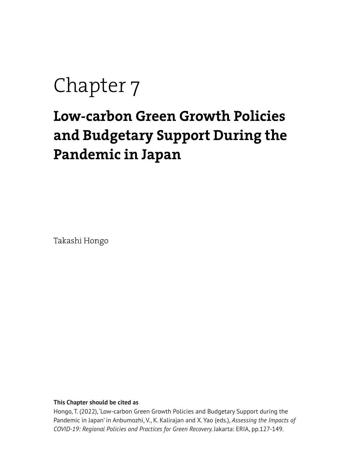# Chapter 7

# **Low-carbon Green Growth Policies and Budgetary Support During the Pandemic in Japan**

Takashi Hongo

#### **This Chapter should be cited as**

Hongo, T. (2022), 'Low-carbon Green Growth Policies and Budgetary Support during the Pandemic in Japan' in Anbumozhi, V., K. Kalirajan and X. Yao (eds.), *Assessing the Impacts of COVID-19: Regional Policies and Practices for Green Recovery.* Jakarta: ERIA, pp.127-149.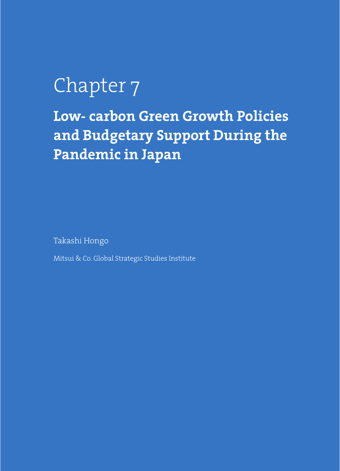# Chapter 7

**Low- carbon Green Growth Policies and Budgetary Support During the Pandemic in Japan**

Takashi Hongo

Mitsui & Co. Global Strategic Studies Institute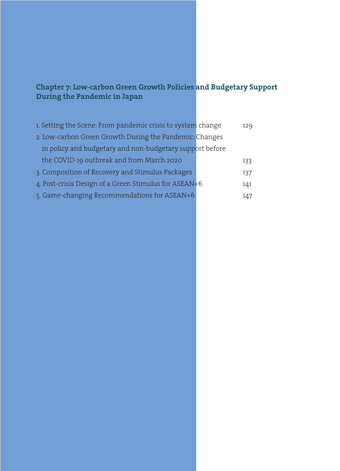# **Chapter 7: Low-carbon Green Growth Policies and Budgetary Support During the Pandemic in Japan**

| 1. Setting the Scene: From pandemic crisis to system change | 129 |
|-------------------------------------------------------------|-----|
| 2. Low-carbon Green Growth During the Pandemic: Changes     |     |
| in policy and budgetary and non-budgetary support before    |     |
| the COVID-19 outbreak and from March 2020                   | 133 |
| 3. Composition of Recovery and Stimulus Packages            | 137 |
| 4. Post-crisis Design of a Green Stimulus for ASEAN+6       | 141 |
| 5. Game-changing Recommendations for ASEAN+6                | 147 |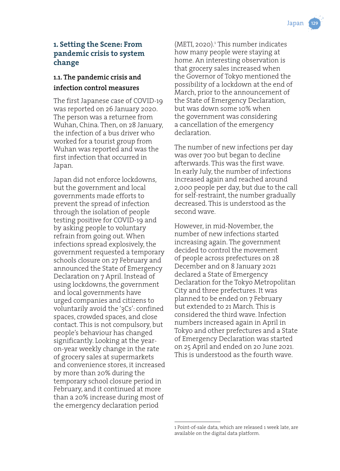# **1. Setting the Scene: From pandemic crisis to system change**

# **1.1. The pandemic crisis and infection control measures**

The first Japanese case of COVID-19 was reported on 26 January 2020. The person was a returnee from Wuhan, China. Then, on 28 January, the infection of a bus driver who worked for a tourist group from Wuhan was reported and was the first infection that occurred in Japan.

Japan did not enforce lockdowns, but the government and local governments made efforts to prevent the spread of infection through the isolation of people testing positive for COVID-19 and by asking people to voluntary refrain from going out. When infections spread explosively, the government requested a temporary schools closure on 27 February and announced the State of Emergency Declaration on 7 April. Instead of using lockdowns, the government and local governments have urged companies and citizens to voluntarily avoid the '3Cs': confined spaces, crowded spaces, and close contact. This is not compulsory, but people's behaviour has changed significantly. Looking at the yearon-year weekly change in the rate of grocery sales at supermarkets and convenience stores, it increased by more than 20% during the temporary school closure period in February, and it continued at more than a 20% increase during most of the emergency declaration period

 $(METI, 2020).$ <sup>1</sup> This number indicates how many people were staying at home. An interesting observation is that grocery sales increased when the Governor of Tokyo mentioned the possibility of a lockdown at the end of March, prior to the announcement of the State of Emergency Declaration, but was down some 10% when the government was considering a cancellation of the emergency declaration.

The number of new infections per day was over 700 but began to decline afterwards. This was the first wave. In early July, the number of infections increased again and reached around 2,000 people per day, but due to the call for self-restraint, the number gradually decreased. This is understood as the second wave.

However, in mid-November, the number of new infections started increasing again. The government decided to control the movement of people across prefectures on 28 December and on 8 January 2021 declared a State of Emergency Declaration for the Tokyo Metropolitan City and three prefectures. It was planned to be ended on 7 February but extended to 21 March. This is considered the third wave. Infection numbers increased again in April in Tokyo and other prefectures and a State of Emergency Declaration was started on 25 April and ended on 20 June 2021. This is understood as the fourth wave.

<sup>1</sup> Point-of-sale data, which are released 1 week late, are available on the digital data platform.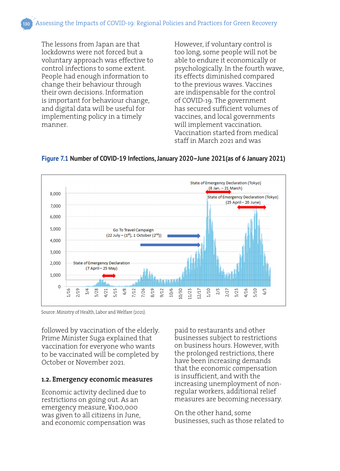The lessons from Japan are that lockdowns were not forced but a voluntary approach was effective to control infections to some extent. People had enough information to change their behaviour through their own decisions. Information is important for behaviour change, and digital data will be useful for implementing policy in a timely manner.

However, if voluntary control is too long, some people will not be able to endure it economically or psychologically. In the fourth wave, its effects diminished compared to the previous waves. Vaccines are indispensable for the control of COVID-19. The government has secured sufficient volumes of vaccines, and local governments will implement vaccination. Vaccination started from medical staff in March 2021 and was



**Figure 7.1 Number of COVID-19 Infections, January 2020–June 2021(as of 6 January 2021)**

Source: Ministry of Health, Labor and Welfare (2021).

followed by vaccination of the elderly. Prime Minister Suga explained that vaccination for everyone who wants to be vaccinated will be completed by October or November 2021.

#### **1.2. Emergency economic measures**

Economic activity declined due to restrictions on going out. As an emergency measure, ¥100,000 was given to all citizens in June, and economic compensation was

paid to restaurants and other businesses subject to restrictions on business hours. However, with the prolonged restrictions, there have been increasing demands that the economic compensation is insufficient, and with the increasing unemployment of nonregular workers, additional relief measures are becoming necessary.

On the other hand, some businesses, such as those related to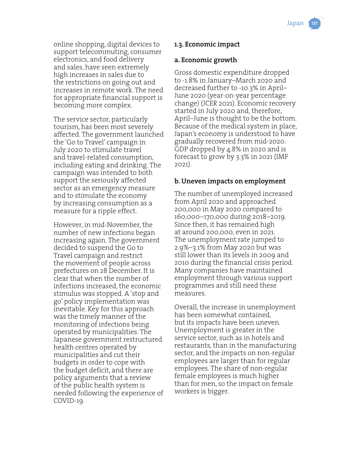online shopping, digital devices to support telecommuting, consumer electronics, and food delivery and sales, have seen extremely high increases in sales due to the restrictions on going out and increases in remote work. The need for appropriate financial support is becoming more complex.

The service sector, particularly tourism, has been most severely affected. The government launched the 'Go to Travel' campaign in July 2020 to stimulate travel and travel-related consumption, including eating and drinking. The campaign was intended to both support the seriously affected sector as an emergency measure and to stimulate the economy by increasing consumption as a measure for a ripple effect.

However, in mid-November, the number of new infections began increasing again. The government decided to suspend the Go to Travel campaign and restrict the movement of people across prefectures on 28 December. It is clear that when the number of infections increased, the economic stimulus was stopped. A 'stop and go' policy implementation was inevitable. Key for this approach was the timely manner of the monitoring of infections being operated by municipalities. The Japanese government restructured health centres operated by municipalities and cut their budgets in order to cope with the budget deficit, and there are policy arguments that a review of the public health system is needed following the experience of COVID-19.

## **1.3. Economic impact**

#### **a. Economic growth**

Gross domestic expenditure dropped to -1.8% in January–March 2020 and decreased further to -10.3% in April– June 2020 (year-on-year percentage change) (JCER 2021). Economic recovery started in July 2020 and, therefore, April–June is thought to be the bottom. Because of the medical system in place, Japan's economy is understood to have gradually recovered from mid-2020. GDP dropped by 4.8% in 2020 and is forecast to grow by 3.3% in 2021 (IMF 2021).

#### **b. Uneven impacts on employment**

The number of unemployed increased from April 2020 and approached 200,000 in May 2020 compared to 160,000–170,000 during 2018–2019. Since then, it has remained high at around 200,000, even in 2021. The unemployment rate jumped to 2.9%–3.1% from May 2020 but was still lower than its levels in 2009 and 2010 during the financial crisis period. Many companies have maintained employment through various support programmes and still need these measures.

Overall, the increase in unemployment has been somewhat contained, but its impacts have been uneven. Unemployment is greater in the service sector, such as in hotels and restaurants, than in the manufacturing sector, and the impacts on non-regular employees are larger than for regular employees. The share of non-regular female employees is much higher than for men, so the impact on female workers is bigger.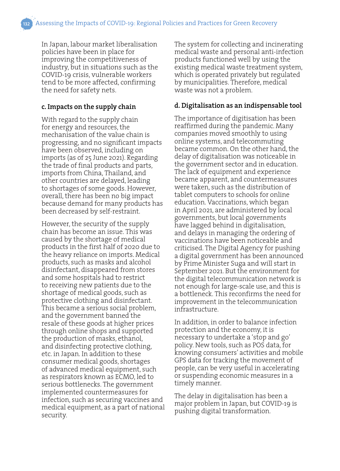In Japan, labour market liberalisation policies have been in place for improving the competitiveness of industry, but in situations such as the COVID-19 crisis, vulnerable workers tend to be more affected, confirming the need for safety nets.

### **c. Impacts on the supply chain**

With regard to the supply chain for energy and resources, the mechanisation of the value chain is progressing, and no significant impacts have been observed, including on imports (as of 25 June 2021). Regarding the trade of final products and parts, imports from China, Thailand, and other countries are delayed, leading to shortages of some goods. However, overall, there has been no big impact because demand for many products has been decreased by self-restraint.

However, the security of the supply chain has become an issue. This was caused by the shortage of medical products in the first half of 2020 due to the heavy reliance on imports. Medical products, such as masks and alcohol disinfectant, disappeared from stores and some hospitals had to restrict to receiving new patients due to the shortage of medical goods, such as protective clothing and disinfectant. This became a serious social problem, and the government banned the resale of these goods at higher prices through online shops and supported the production of masks, ethanol, and disinfecting protective clothing, etc. in Japan. In addition to these consumer medical goods, shortages of advanced medical equipment, such as respirators known as ECMO, led to serious bottlenecks. The government implemented countermeasures for infection, such as securing vaccines and medical equipment, as a part of national security.

The system for collecting and incinerating medical waste and personal anti-infection products functioned well by using the existing medical waste treatment system, which is operated privately but regulated by municipalities. Therefore, medical waste was not a problem.

#### **d. Digitalisation as an indispensable tool**

The importance of digitisation has been reaffirmed during the pandemic. Many companies moved smoothly to using online systems, and telecommuting became common. On the other hand, the delay of digitalisation was noticeable in the government sector and in education. The lack of equipment and experience became apparent, and countermeasures were taken, such as the distribution of tablet computers to schools for online education. Vaccinations, which began in April 2021, are administered by local governments, but local governments have lagged behind in digitalisation, and delays in managing the ordering of vaccinations have been noticeable and criticised. The Digital Agency for pushing a digital government has been announced by Prime Minister Suga and will start in September 2021. But the environment for the digital telecommunication network is not enough for large-scale use, and this is a bottleneck. This reconfirms the need for improvement in the telecommunication infrastructure.

In addition, in order to balance infection protection and the economy, it is necessary to undertake a 'stop and go' policy. New tools, such as POS data, for knowing consumers' activities and mobile GPS data for tracking the movement of people, can be very useful in accelerating or suspending economic measures in a timely manner.

The delay in digitalisation has been a major problem in Japan, but COVID-19 is pushing digital transformation.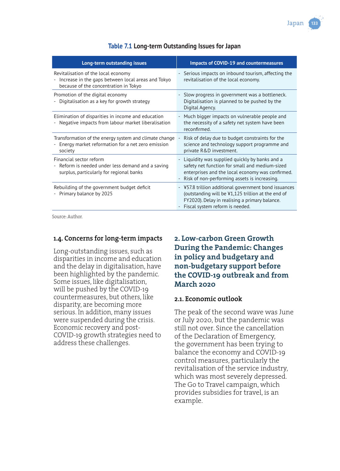

| Table 7.1 Long-term Outstanding Issues for Japan |  |  |  |
|--------------------------------------------------|--|--|--|
|--------------------------------------------------|--|--|--|

| Long-term outstanding issues                                                                                                         | <b>Impacts of COVID-19 and countermeasures</b>                                                                                                                                                          |
|--------------------------------------------------------------------------------------------------------------------------------------|---------------------------------------------------------------------------------------------------------------------------------------------------------------------------------------------------------|
| Revitalisation of the local economy<br>- Increase in the gaps between local areas and Tokyo<br>because of the concentration in Tokyo | - Serious impacts on inbound tourism, affecting the<br>revitalisation of the local economy.                                                                                                             |
| Promotion of the digital economy<br>Digitalisation as a key for growth strategy                                                      | - Slow progress in government was a bottleneck.<br>Digitalisation is planned to be pushed by the<br>Digital Agency.                                                                                     |
| Elimination of disparities in income and education<br>- Negative impacts from labour market liberalisation                           | - Much bigger impacts on vulnerable people and<br>the necessity of a safety net system have been<br>reconfirmed.                                                                                        |
| Transformation of the energy system and climate change<br>Energy market reformation for a net zero emission<br>society               | Risk of delay due to budget constraints for the<br>science and technology support programme and<br>private R&D investment.                                                                              |
| Financial sector reform<br>- Reform is needed under less demand and a saving<br>surplus, particularly for regional banks             | - Liquidity was supplied quickly by banks and a<br>safety net function for small and medium-sized<br>enterprises and the local economy was confirmed.<br>- Risk of non-performing assets is increasing. |
| Rebuilding of the government budget deficit<br>- Primary balance by 2025                                                             | - ¥57.8 trillion additional government bond issuances<br>(outstanding will be ¥1,125 trillion at the end of<br>FY2020). Delay in realising a primary balance.<br>Fiscal system reform is needed.        |

Source: Author.

#### **1.4. Concerns for long-term impacts**

Long-outstanding issues, such as disparities in income and education and the delay in digitalisation, have been highlighted by the pandemic. Some issues, like digitalisation, will be pushed by the COVID-19 countermeasures, but others, like disparity, are becoming more serious. In addition, many issues were suspended during the crisis. Economic recovery and post-COVID-19 growth strategies need to address these challenges.

## **2. Low-carbon Green Growth During the Pandemic: Changes in policy and budgetary and non-budgetary support before the COVID-19 outbreak and from March 2020**

#### **2.1. Economic outlook**

The peak of the second wave was June or July 2020, but the pandemic was still not over. Since the cancellation of the Declaration of Emergency, the government has been trying to balance the economy and COVID-19 control measures, particularly the revitalisation of the service industry, which was most severely depressed. The Go to Travel campaign, which provides subsidies for travel, is an example.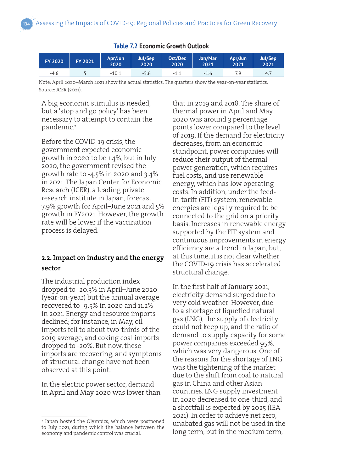| <b>FY 2020</b> | <b>FY 2021</b> | Apr/Jun<br>2020 | <b>Jul/Sep</b><br>2020 | Oct/Dec<br>2020    | Jan/Mar<br>2021 | Apr/Jun<br>2021 | Jul/Sep<br>2021 |
|----------------|----------------|-----------------|------------------------|--------------------|-----------------|-----------------|-----------------|
| $-4.6$         |                | $-10.1$         | $-5.6$                 | $-1^{\frac{1}{2}}$ | $-1.6$          | 7.9             | 4.7             |

#### **Table 7.2 Economic Growth Outlook**

Note: April 2020–March 2021 show the actual statistics. The quarters show the year-on-year statistics. Source: JCER (2021).

A big economic stimulus is needed, but a 'stop and go policy' has been necessary to attempt to contain the pandemic.<sup>2</sup>

Before the COVID-19 crisis, the government expected economic growth in 2020 to be 1.4%, but in July 2020, the government revised the growth rate to -4.5% in 2020 and 3.4% in 2021. The Japan Center for Economic Research (JCER), a leading private research institute in Japan, forecast 7.9% growth for April–June 2021 and 5% growth in FY2021. However, the growth rate will be lower if the vaccination process is delayed.

# **2.2. Impact on industry and the energy sector**

The industrial production index dropped to -20.3% in April–June 2020 (year-on-year) but the annual average recovered to -9.5% in 2020 and 11.2% in 2021. Energy and resource imports declined; for instance, in May, oil imports fell to about two-thirds of the 2019 average, and coking coal imports dropped to -20%. But now, these imports are recovering, and symptoms of structural change have not been observed at this point.

In the electric power sector, demand in April and May 2020 was lower than

2 Japan hosted the Olympics, which were postponed to July 2021, during which the balance between the economy and pandemic control was crucial.

that in 2019 and 2018. The share of thermal power in April and May 2020 was around 3 percentage points lower compared to the level of 2019. If the demand for electricity decreases, from an economic standpoint, power companies will reduce their output of thermal power generation, which requires fuel costs, and use renewable energy, which has low operating costs. In addition, under the feedin-tariff (FIT) system, renewable energies are legally required to be connected to the grid on a priority basis. Increases in renewable energy supported by the FIT system and continuous improvements in energy efficiency are a trend in Japan, but, at this time, it is not clear whether the COVID-19 crisis has accelerated structural change.

In the first half of January 2021, electricity demand surged due to very cold weather. However, due to a shortage of liquefied natural gas (LNG), the supply of electricity could not keep up, and the ratio of demand to supply capacity for some power companies exceeded 95%, which was very dangerous. One of the reasons for the shortage of LNG was the tightening of the market due to the shift from coal to natural gas in China and other Asian countries. LNG supply investment in 2020 decreased to one-third, and a shortfall is expected by 2025 (IEA 2021). In order to achieve net zero, unabated gas will not be used in the long term, but in the medium term,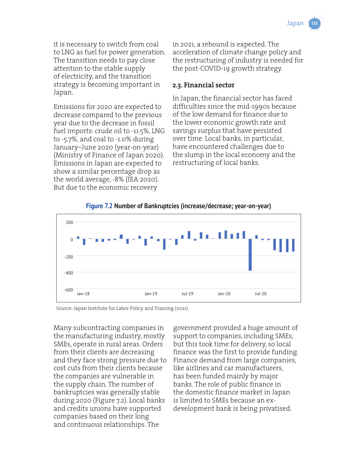it is necessary to switch from coal to LNG as fuel for power generation. The transition needs to pay close attention to the stable supply of electricity, and the transition strategy is becoming important in Japan.

Emissions for 2020 are expected to decrease compared to the previous year due to the decrease in fossil fuel imports: crude oil to -11.5%, LNG to -5.7%, and coal to -1.0% during January–June 2020 (year-on-year) (Ministry of Finance of Japan 2020). Emissions in Japan are expected to show a similar percentage drop as the world average, -8% (IEA 2020). But due to the economic recovery

in 2021, a rebound is expected. The acceleration of climate change policy and the restructuring of industry is needed for the post-COVID-19 growth strategy.

#### **2.3. Financial sector**

In Japan, the financial sector has faced difficulties since the mid-1990s because of the low demand for finance due to the lower economic growth rate and savings surplus that have persisted over time. Local banks, in particular, have encountered challenges due to the slump in the local economy and the restructuring of local banks.



**Figure 7.2 Number of Bankruptcies (increase/decrease; year-on-year)**

Source: Japan Institute for Labor Policy and Training (2021).

Many subcontracting companies in the manufacturing industry, mostly SMEs, operate in rural areas. Orders from their clients are decreasing and they face strong pressure due to cost cuts from their clients because the companies are vulnerable in the supply chain. The number of bankruptcies was generally stable during 2020 (Figure 7.2). Local banks and credits unions have supported companies based on their long and continuous relationships. The

government provided a huge amount of support to companies, including SMEs, but this took time for delivery, so local finance was the first to provide funding. Finance demand from large companies, like airlines and car manufacturers, has been funded mainly by major banks. The role of public finance in the domestic finance market in Japan is limited to SMEs because an exdevelopment bank is being privatised.

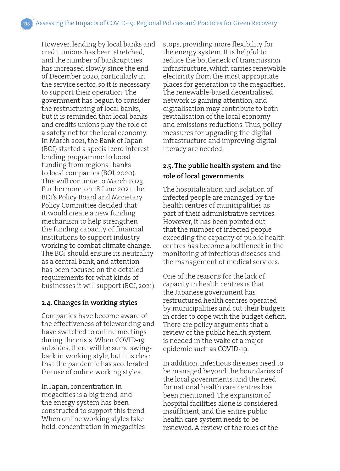However, lending by local banks and credit unions has been stretched, and the number of bankruptcies has increased slowly since the end of December 2020, particularly in the service sector, so it is necessary to support their operation. The government has begun to consider the restructuring of local banks, but it is reminded that local banks and credits unions play the role of a safety net for the local economy. In March 2021, the Bank of Japan (BOJ) started a special zero interest lending programme to boost funding from regional banks to local companies (BOJ, 2020). This will continue to March 2023. Furthermore, on 18 June 2021, the BOJ's Policy Board and Monetary Policy Committee decided that it would create a new funding mechanism to help strengthen the funding capacity of financial institutions to support industry working to combat climate change. The BOJ should ensure its neutrality as a central bank, and attention has been focused on the detailed requirements for what kinds of businesses it will support (BOJ, 2021).

#### **2.4. Changes in working styles**

Companies have become aware of the effectiveness of teleworking and have switched to online meetings during the crisis. When COVID-19 subsides, there will be some swingback in working style, but it is clear that the pandemic has accelerated the use of online working styles.

In Japan, concentration in megacities is a big trend, and the energy system has been constructed to support this trend. When online working styles take hold, concentration in megacities

stops, providing more flexibility for the energy system. It is helpful to reduce the bottleneck of transmission infrastructure, which carries renewable electricity from the most appropriate places for generation to the megacities. The renewable-based decentralised network is gaining attention, and digitalisation may contribute to both revitalisation of the local economy and emissions reductions. Thus, policy measures for upgrading the digital infrastructure and improving digital literacy are needed.

# **2.5. The public health system and the role of local governments**

The hospitalisation and isolation of infected people are managed by the health centres of municipalities as part of their administrative services. However, it has been pointed out that the number of infected people exceeding the capacity of public health centres has become a bottleneck in the monitoring of infectious diseases and the management of medical services.

One of the reasons for the lack of capacity in health centres is that the Japanese government has restructured health centres operated by municipalities and cut their budgets in order to cope with the budget deficit. There are policy arguments that a review of the public health system is needed in the wake of a major epidemic such as COVID-19.

In addition, infectious diseases need to be managed beyond the boundaries of the local governments, and the need for national health care centres has been mentioned. The expansion of hospital facilities alone is considered insufficient, and the entire public health care system needs to be reviewed. A review of the roles of the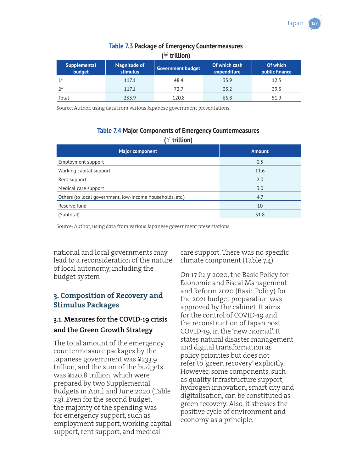

| $(\forall$ trillion)          |                                        |                          |                              |                            |
|-------------------------------|----------------------------------------|--------------------------|------------------------------|----------------------------|
| <b>Supplemental</b><br>budget | <b>Magnitude of</b><br><b>stimulus</b> | <b>Government budget</b> | Of which cash<br>expenditure | Of which<br>public finance |
| 1 <sub>st</sub>               | 117.1                                  | 48.4                     | 33.9                         | 12.5                       |
| 2 <sub>nd</sub>               | 117.1                                  | 72.7                     | 33.2                         | 39.3                       |
| Total                         | 233.9                                  | 120.8                    | 66.8                         | 519                        |

# **Table 7.3 Package of Emergency Countermeasures**

Source: Author, using data from various Japanese government presentations.

#### **Table 7.4 Major Components of Emergency Countermeasures**

**(**¥ **trillion)**

| <b>Major component</b>                                    | <b>Amount</b> |
|-----------------------------------------------------------|---------------|
| Employment support                                        | 0.5           |
| Working capital support                                   | 11.6          |
| Rent support                                              | 2.0           |
| Medical care support                                      | 3.0           |
| Others (to local government, low-income households, etc.) | 4.7           |
| Reserve fund                                              | 10            |
| (Subtotal)                                                | 31.8          |

Source: Author, using data from various Japanese government presentations.

national and local governments may lead to a reconsideration of the nature of local autonomy, including the budget system

#### **3. Composition of Recovery and Stimulus Packages**

# **3.1. Measures for the COVID-19 crisis and the Green Growth Strategy**

The total amount of the emergency countermeasure packages by the Japanese government was ¥233.9 trillion, and the sum of the budgets was ¥120.8 trillion, which were prepared by two Supplemental Budgets in April and June 2020 (Table 7.3). Even for the second budget, the majority of the spending was for emergency support, such as employment support, working capital support, rent support, and medical

care support. There was no specific climate component (Table 7.4).

On 17 July 2020, the Basic Policy for Economic and Fiscal Management and Reform 2020 (Basic Policy) for the 2021 budget preparation was approved by the cabinet. It aims for the control of COVID-19 and the reconstruction of Japan post COVID-19, in the 'new normal'. It states natural disaster management and digital transformation as policy priorities but does not refer to 'green recovery' explicitly. However, some components, such as quality infrastructure support, hydrogen innovation, smart city and digitalisation, can be constituted as green recovery. Also, it stresses the positive cycle of environment and economy as a principle.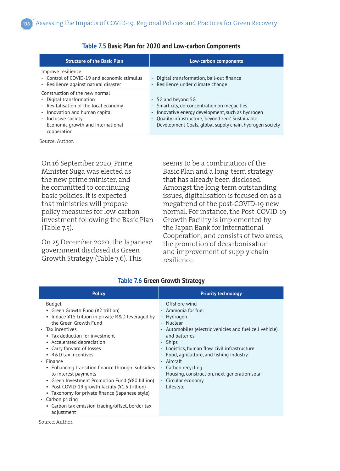| <b>Structure of the Basic Plan</b>                                                                                                                                                                                 | Low-carbon components                                                                                                                                                                                                                                               |
|--------------------------------------------------------------------------------------------------------------------------------------------------------------------------------------------------------------------|---------------------------------------------------------------------------------------------------------------------------------------------------------------------------------------------------------------------------------------------------------------------|
| Improve resilience<br>- Control of COVID-19 and economic stimulus<br>- Resilience against natural disaster                                                                                                         | Digital transformation, bail-out finance<br>- Resilience under climate change                                                                                                                                                                                       |
| Construction of the new normal<br>- Digital transformation<br>- Revitalisation of the local economy<br>- Innovation and human capital<br>- Inclusive society<br>- Economic growth and international<br>cooperation | - 5G and beyond 5G<br>- Smart city, de-concentration on megacities<br>Innovative energy development, such as hydrogen<br>$\overline{\phantom{a}}$<br>- Quality infrastructure, beyond zero, Sustainable<br>Development Goals, global supply chain, hydrogen society |

#### **Table 7.5 Basic Plan for 2020 and Low-carbon Components**

Source: Author.

On 16 September 2020, Prime Minister Suga was elected as the new prime minister, and he committed to continuing basic policies. It is expected that ministries will propose policy measures for low-carbon investment following the Basic Plan (Table 7.5).

On 25 December 2020, the Japanese government disclosed its Green Growth Strategy (Table 7.6). This

seems to be a combination of the Basic Plan and a long-term strategy that has already been disclosed. Amongst the long-term outstanding issues, digitalisation is focused on as a megatrend of the post-COVID-19 new normal. For instance, the Post-COVID-19 Growth Facility is implemented by the Japan Bank for International Cooperation, and consists of two areas, the promotion of decarbonisation and improvement of supply chain resilience.

| <b>Policy</b>                                                                                                                                                                                                                                                                                                                                                                                                                                                                                                                                                                                        | <b>Priority technology</b>                                                                                                                                                                                                                                                                                                                                                       |
|------------------------------------------------------------------------------------------------------------------------------------------------------------------------------------------------------------------------------------------------------------------------------------------------------------------------------------------------------------------------------------------------------------------------------------------------------------------------------------------------------------------------------------------------------------------------------------------------------|----------------------------------------------------------------------------------------------------------------------------------------------------------------------------------------------------------------------------------------------------------------------------------------------------------------------------------------------------------------------------------|
| Budget<br>• Green Growth Fund (¥2 trillion)<br>• Induce ¥15 trillion in private R&D leveraged by<br>the Green Growth Fund<br>- Tax incentives<br>• Tax deduction for investment<br>• Accelerated depreciation<br>• Carry forward of losses<br>• R&D tax incentives<br>- Finance<br>• Enhancing transition finance through subsidies<br>to interest payments<br>• Green Investment Promotion Fund (¥80 billion)<br>• Post COVID-19 growth facility (¥1.5 trillion)<br>• Taxonomy for private finance (Japanese style)<br>Carbon pricing<br>$\sim$<br>• Carbon tax emission trading/offset, border tax | - Offshore wind<br>- Ammonia for fuel<br>- Hydrogen<br>- Nuclear<br>- Automobiles (electric vehicles and fuel cell vehicle)<br>and batteries<br>- Ships<br>- Logistics, human flow, civil infrastructure<br>- Food, agriculture, and fishing industry<br>- Aircraft<br>- Carbon recycling<br>- Housing, construction, next-generation solar<br>- Circular economy<br>- Lifestyle |
| adjustment                                                                                                                                                                                                                                                                                                                                                                                                                                                                                                                                                                                           |                                                                                                                                                                                                                                                                                                                                                                                  |

#### **Table 7.6 Green Growth Strategy**

Source: Author.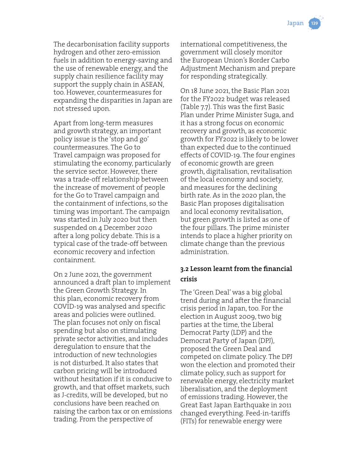The decarbonisation facility supports hydrogen and other zero-emission fuels in addition to energy-saving and the use of renewable energy, and the supply chain resilience facility may support the supply chain in ASEAN, too. However, countermeasures for expanding the disparities in Japan are not stressed upon.

Apart from long-term measures and growth strategy, an important policy issue is the 'stop and go' countermeasures. The Go to Travel campaign was proposed for stimulating the economy, particularly the service sector. However, there was a trade-off relationship between the increase of movement of people for the Go to Travel campaign and the containment of infections, so the timing was important. The campaign was started in July 2020 but then suspended on 4 December 2020 after a long policy debate. This is a typical case of the trade-off between economic recovery and infection containment.

On 2 June 2021, the government announced a draft plan to implement the Green Growth Strategy. In this plan, economic recovery from COVID-19 was analysed and specific areas and policies were outlined. The plan focuses not only on fiscal spending but also on stimulating private sector activities, and includes deregulation to ensure that the introduction of new technologies is not disturbed. It also states that carbon pricing will be introduced without hesitation if it is conducive to growth, and that offset markets, such as J-credits, will be developed, but no conclusions have been reached on raising the carbon tax or on emissions trading. From the perspective of

international competitiveness, the government will closely monitor the European Union's Border Carbo Adjustment Mechanism and prepare for responding strategically.

On 18 June 2021, the Basic Plan 2021 for the FY2022 budget was released (Table 7.7). This was the first Basic Plan under Prime Minister Suga, and it has a strong focus on economic recovery and growth, as economic growth for FY2022 is likely to be lower than expected due to the continued effects of COVID-19. The four engines of economic growth are green growth, digitalisation, revitalisation of the local economy and society, and measures for the declining birth rate. As in the 2020 plan, the Basic Plan proposes digitalisation and local economy revitalisation, but green growth is listed as one of the four pillars. The prime minister intends to place a higher priority on climate change than the previous administration.

# **3.2 Lesson learnt from the financial crisis**

The 'Green Deal' was a big global trend during and after the financial crisis period in Japan, too. For the election in August 2009, two big parties at the time, the Liberal Democrat Party (LDP) and the Democrat Party of Japan (DPJ), proposed the Green Deal and competed on climate policy. The DPJ won the election and promoted their climate policy, such as support for renewable energy, electricity market liberalisation, and the deployment of emissions trading. However, the Great East Japan Earthquake in 2011 changed everything. Feed-in-tariffs (FITs) for renewable energy were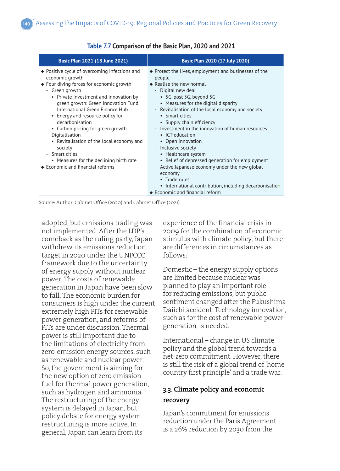| Basic Plan 2021 (18 June 2021)                                                                                                                                                                                                                                                                                                                                                                                                                                                                                               | Basic Plan 2020 (17 July 2020)                                                                                                                                                                                                                                                                                                                                                                                                                                                                                                                                                                                                                                                                            |
|------------------------------------------------------------------------------------------------------------------------------------------------------------------------------------------------------------------------------------------------------------------------------------------------------------------------------------------------------------------------------------------------------------------------------------------------------------------------------------------------------------------------------|-----------------------------------------------------------------------------------------------------------------------------------------------------------------------------------------------------------------------------------------------------------------------------------------------------------------------------------------------------------------------------------------------------------------------------------------------------------------------------------------------------------------------------------------------------------------------------------------------------------------------------------------------------------------------------------------------------------|
| ♦ Positive cycle of overcoming infections and<br>economic growth<br>◆ Four diving forces for economic growth<br>- Green growth<br>• Private investment and innovation by<br>green growth: Green Innovation Fund,<br>International Green Finance Hub<br>• Energy and resource policy for<br>decarbonisation<br>• Carbon pricing for green growth<br>- Digitalisation<br>• Revitalisation of the local economy and<br>society<br>- Smart cities<br>• Measures for the declining birth rate<br>♦ Economic and financial reforms | $\bullet$ Protect the lives, employment and businesses of the<br>people<br>$\triangle$ Realise the new normal<br>- Digital new deal<br>• 5G, post 5G, beyond 5G<br>• Measures for the digital disparity<br>- Revitalisation of the local economy and society<br>• Smart cities<br>• Supply chain efficiency<br>Investment in the innovation of human resources<br>$\bullet$ ICT education<br>• Open innovation<br>- Inclusive society<br>• Healthcare system<br>• Relief of depressed generation for employment<br>- Active Japanese economy under the new global<br>economy<br>• Trade rules<br>• International contribution, including decarbonisation<br>$\blacklozenge$ Economic and financial reform |

#### **Table 7.7 Comparison of the Basic Plan, 2020 and 2021**

Source: Author; Cabinet Office (2020) and Cabinet Office (2021).

adopted, but emissions trading was not implemented. After the LDP's comeback as the ruling party, Japan withdrew its emissions reduction target in 2020 under the UNFCCC framework due to the uncertainty of energy supply without nuclear power. The costs of renewable generation in Japan have been slow to fall. The economic burden for consumers is high under the current extremely high FITs for renewable power generation, and reforms of FITs are under discussion. Thermal power is still important due to the limitations of electricity from zero-emission energy sources, such as renewable and nuclear power. So, the government is aiming for the new option of zero emission fuel for thermal power generation, such as hydrogen and ammonia. The restructuring of the energy system is delayed in Japan, but policy debate for energy system restructuring is more active. In general, Japan can learn from its

experience of the financial crisis in 2009 for the combination of economic stimulus with climate policy, but there are differences in circumstances as follows:

Domestic – the energy supply options are limited because nuclear was planned to play an important role for reducing emissions, but public sentiment changed after the Fukushima Daiichi accident. Technology innovation, such as for the cost of renewable power generation, is needed.

International – change in US climate policy and the global trend towards a net-zero commitment. However, there is still the risk of a global trend of 'home country first principle' and a trade war.

# **3.3. Climate policy and economic recovery**

Japan's commitment for emissions reduction under the Paris Agreement is a 26% reduction by 2030 from the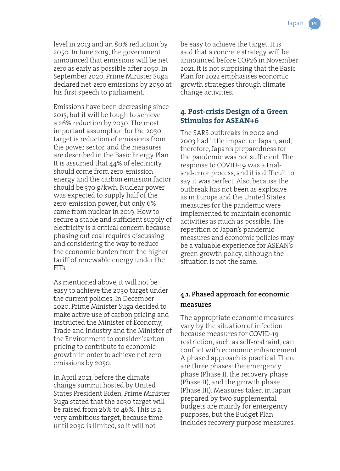level in 2013 and an 80% reduction by 2050. In June 2019, the government announced that emissions will be net zero as early as possible after 2050. In September 2020, Prime Minister Suga declared net-zero emissions by 2050 at his first speech to parliament.

Emissions have been decreasing since 2013, but it will be tough to achieve a 26% reduction by 2030. The most important assumption for the 2030 target is reduction of emissions from the power sector, and the measures are described in the Basic Energy Plan. It is assumed that 44% of electricity should come from zero-emission energy and the carbon emission factor should be 370 g/kwh. Nuclear power was expected to supply half of the zero-emission power, but only 6% came from nuclear in 2019. How to secure a stable and sufficient supply of electricity is a critical concern because phasing out coal requires discussing and considering the way to reduce the economic burden from the higher tariff of renewable energy under the FITs.

As mentioned above, it will not be easy to achieve the 2030 target under the current policies. In December 2020, Prime Minister Suga decided to make active use of carbon pricing and instructed the Minister of Economy, Trade and Industry and the Minister of the Environment to consider 'carbon pricing to contribute to economic growth' in order to achieve net zero emissions by 2050.

In April 2021, before the climate change summit hosted by United States President Biden, Prime Minister Suga stated that the 2030 target will be raised from 26% to 46%. This is a very ambitious target, because time until 2030 is limited, so it will not

be easy to achieve the target. It is said that a concrete strategy will be announced before COP26 in November 2021. It is not surprising that the Basic Plan for 2022 emphasises economic growth strategies through climate change activities.

# **4. Post-crisis Design of a Green Stimulus for ASEAN+6**

The SARS outbreaks in 2002 and 2003 had little impact on Japan, and, therefore, Japan's preparedness for the pandemic was not sufficient. The response to COVID-19 was a trialand-error process, and it is difficult to say it was perfect. Also, because the outbreak has not been as explosive as in Europe and the United States, measures for the pandemic were implemented to maintain economic activities as much as possible. The repetition of Japan's pandemic measures and economic policies may be a valuable experience for ASEAN's green growth policy, although the situation is not the same.

# **4.1. Phased approach for economic measures**

The appropriate economic measures vary by the situation of infection because measures for COVID-19 restriction, such as self-restraint, can conflict with economic enhancement. A phased approach is practical. There are three phases: the emergency phase (Phase I), the recovery phase (Phase II), and the growth phase (Phase III). Measures taken in Japan prepared by two supplemental budgets are mainly for emergency purposes, but the Budget Plan includes recovery purpose measures.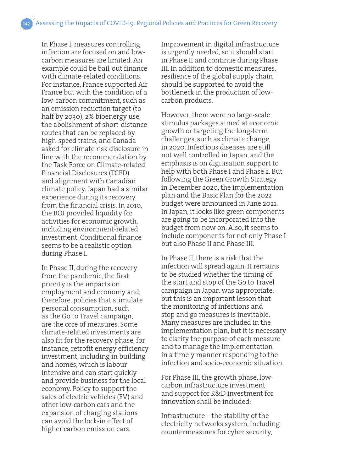In Phase I, measures controlling infection are focused on and lowcarbon measures are limited. An example could be bail-out finance with climate-related conditions. For instance, France supported Air France but with the condition of a low-carbon commitment, such as an emission reduction target (to half by 2030), 2% bioenergy use, the abolishment of short-distance routes that can be replaced by high-speed trains, and Canada asked for climate risk disclosure in line with the recommendation by the Task Force on Climate-related Financial Disclosures (TCFD) and alignment with Canadian climate policy. Japan had a similar experience during its recovery from the financial crisis. In 2010, the BOJ provided liquidity for activities for economic growth, including environment-related investment. Conditional finance seems to be a realistic option during Phase I.

In Phase II, during the recovery from the pandemic, the first priority is the impacts on employment and economy and, therefore, policies that stimulate personal consumption, such as the Go to Travel campaign, are the core of measures. Some climate-related investments are also fit for the recovery phase, for instance, retrofit energy efficiency investment, including in building and homes, which is labour intensive and can start quickly and provide business for the local economy. Policy to support the sales of electric vehicles (EV) and other low-carbon cars and the expansion of charging stations can avoid the lock-in effect of higher carbon emission cars.

Improvement in digital infrastructure is urgently needed, so it should start in Phase II and continue during Phase III. In addition to domestic measures, resilience of the global supply chain should be supported to avoid the bottleneck in the production of lowcarbon products.

However, there were no large-scale stimulus packages aimed at economic growth or targeting the long-term challenges, such as climate change, in 2020. Infectious diseases are still not well controlled in Japan, and the emphasis is on digitisation support to help with both Phase I and Phase 2. But following the Green Growth Strategy in December 2020, the implementation plan and the Basic Plan for the 2022 budget were announced in June 2021. In Japan, it looks like green components are going to be incorporated into the budget from now on. Also, it seems to include components for not only Phase I but also Phase II and Phase III.

In Phase II, there is a risk that the infection will spread again. It remains to be studied whether the timing of the start and stop of the Go to Travel campaign in Japan was appropriate, but this is an important lesson that the monitoring of infections and stop and go measures is inevitable. Many measures are included in the implementation plan, but it is necessary to clarify the purpose of each measure and to manage the implementation in a timely manner responding to the infection and socio-economic situation.

For Phase III, the growth phase, lowcarbon infrastructure investment and support for R&D investment for innovation shall be included:

Infrastructure – the stability of the electricity networks system, including countermeasures for cyber security,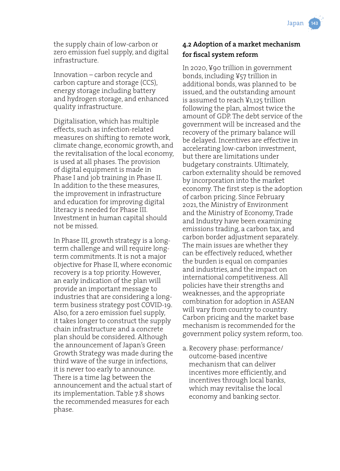the supply chain of low-carbon or zero emission fuel supply, and digital infrastructure.

Innovation – carbon recycle and carbon capture and storage (CCS), energy storage including battery and hydrogen storage, and enhanced quality infrastructure.

Digitalisation, which has multiple effects, such as infection-related measures on shifting to remote work, climate change, economic growth, and the revitalisation of the local economy, is used at all phases. The provision of digital equipment is made in Phase I and job training in Phase II. In addition to the these measures, the improvement in infrastructure and education for improving digital literacy is needed for Phase III. Investment in human capital should not be missed.

In Phase III, growth strategy is a longterm challenge and will require longterm commitments. It is not a major objective for Phase II, where economic recovery is a top priority. However, an early indication of the plan will provide an important message to industries that are considering a longterm business strategy post COVID-19. Also, for a zero emission fuel supply, it takes longer to construct the supply chain infrastructure and a concrete plan should be considered. Although the announcement of Japan's Green Growth Strategy was made during the third wave of the surge in infections, it is never too early to announce. There is a time lag between the announcement and the actual start of its implementation. Table 7.8 shows the recommended measures for each phase.

# **4.2 Adoption of a market mechanism for fiscal system reform**

In 2020, ¥90 trillion in government bonds, including ¥57 trillion in additional bonds, was planned to be issued, and the outstanding amount is assumed to reach ¥1,125 trillion following the plan, almost twice the amount of GDP. The debt service of the government will be increased and the recovery of the primary balance will be delayed. Incentives are effective in accelerating low-carbon investment, but there are limitations under budgetary constraints. Ultimately, carbon externality should be removed by incorporation into the market economy. The first step is the adoption of carbon pricing. Since February 2021, the Ministry of Environment and the Ministry of Economy, Trade and Industry have been examining emissions trading, a carbon tax, and carbon border adjustment separately. The main issues are whether they can be effectively reduced, whether the burden is equal on companies and industries, and the impact on international competitiveness. All policies have their strengths and weaknesses, and the appropriate combination for adoption in ASEAN will vary from country to country. Carbon pricing and the market base mechanism is recommended for the government policy system reform, too.

a. Recovery phase: performance/ outcome-based incentive mechanism that can deliver incentives more efficiently, and incentives through local banks, which may revitalise the local economy and banking sector.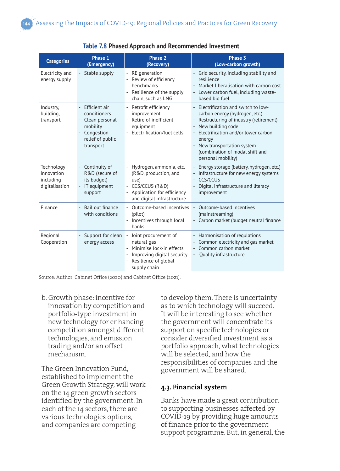| <b>Categories</b>                                       | Phase 1<br>(Emergency)                                                                                                                                            | Phase 2<br>(Recovery)                                                                                                                        | Phase 3<br>(Low-carbon growth)                                                                                                                                                                                                                                                                           |
|---------------------------------------------------------|-------------------------------------------------------------------------------------------------------------------------------------------------------------------|----------------------------------------------------------------------------------------------------------------------------------------------|----------------------------------------------------------------------------------------------------------------------------------------------------------------------------------------------------------------------------------------------------------------------------------------------------------|
| Electricity and<br>energy supply                        | - Stable supply                                                                                                                                                   | RE generation<br>Review of efficiency<br>benchmarks<br>Resilience of the supply<br>÷,<br>chain, such as LNG                                  | Grid security, including stability and<br>resilience<br>Market liberalisation with carbon cost<br>Lower carbon fuel, including waste-<br>based bio fuel                                                                                                                                                  |
| Industry,<br>building,<br>transport                     | Efficient air<br>$\overline{\phantom{a}}$<br>conditioners<br>Clean personal<br>$\qquad \qquad -$<br>mobility<br>Congestion<br>÷,<br>relief of public<br>transport | Retrofit efficiency<br>$\sim$<br>improvement<br>Retire of inefficient<br>$\overline{\phantom{0}}$<br>equipment<br>Electrification/fuel cells | - Electrification and switch to low-<br>carbon energy (hydrogen, etc.)<br>Restructuring of industry (retirement)<br>$\overline{\phantom{a}}$<br>New building code<br>Electrification and/or lower carbon<br>energy<br>New transportation system<br>(combination of modal shift and<br>personal mobility) |
| Technology<br>innovation<br>including<br>digitalisation | - Continuity of<br>R&D (secure of<br>its budget)<br>IT equipment<br>support                                                                                       | Hydrogen, ammonia, etc.<br>(R&D, production, and<br>use)<br>- CCS/CCUS (R&D)<br>Application for efficiency<br>and digital infrastructure     | Energy storage (battery, hydrogen, etc.)<br>Infrastructure for new energy systems<br>CCS/CCUS<br>Digital infrastructure and literacy<br>improvement                                                                                                                                                      |
| Finance                                                 | Bail out finance<br>$\overline{\phantom{a}}$<br>with conditions                                                                                                   | Outcome-based incentives<br>(pilot)<br>- Incentives through local<br>banks                                                                   | Outcome-based incentives<br>÷,<br>(mainstreaming)<br>Carbon market (budget neutral finance                                                                                                                                                                                                               |
| Regional<br>Cooperation                                 | Support for clean<br>energy access                                                                                                                                | - Joint procurement of<br>natural gas<br>Minimise lock-in effects<br>Improving digital security<br>Resilience of global<br>supply chain      | Harmonisation of regulations<br>Common electricity and gas market<br>Common carbon market<br>- 'Quality infrastructure'                                                                                                                                                                                  |

#### **Table 7.8 Phased Approach and Recommended Investment**

Source: Author; Cabinet Office (2020) and Cabinet Office (2021).

b. Growth phase: incentive for innovation by competition and portfolio-type investment in new technology for enhancing competition amongst different technologies, and emission trading and/or an offset mechanism.

The Green Innovation Fund, established to implement the Green Growth Strategy, will work on the 14 green growth sectors identified by the government. In each of the 14 sectors, there are various technologies options, and companies are competing

to develop them. There is uncertainty as to which technology will succeed. It will be interesting to see whether the government will concentrate its support on specific technologies or consider diversified investment as a portfolio approach, what technologies will be selected, and how the responsibilities of companies and the government will be shared.

#### **4.3. Financial system**

Banks have made a great contribution to supporting businesses affected by COVID-19 by providing huge amounts of finance prior to the government support programme. But, in general, the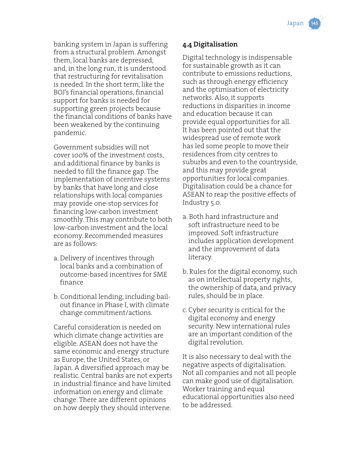banking system in Japan is suffering from a structural problem. Amongst them, local banks are depressed, and, in the long run, it is understood that restructuring for revitalisation is needed. In the short term, like the BOJ's financial operations, financial support for banks is needed for supporting green projects because the financial conditions of banks have been weakened by the continuing pandemic.

Government subsidies will not cover 100% of the investment costs, and additional finance by banks is needed to fill the finance gap. The implementation of incentive systems by banks that have long and close relationships with local companies may provide one-stop services for financing low-carbon investment smoothly. This may contribute to both low-carbon investment and the local economy. Recommended measures are as follows:

- a. Delivery of incentives through local banks and a combination of outcome-based incentives for SME finance
- b. Conditional lending, including bailout finance in Phase I, with climate change commitment/actions.

Careful consideration is needed on which climate change activities are eligible. ASEAN does not have the same economic and energy structure as Europe, the United States, or Japan. A diversified approach may be realistic. Central banks are not experts in industrial finance and have limited information on energy and climate change. There are different opinions on how deeply they should intervene.

# **4.4 Digitalisation**

Digital technology is indispensable for sustainable growth as it can contribute to emissions reductions, such as through energy efficiency and the optimisation of electricity networks. Also, it supports reductions in disparities in income and education because it can provide equal opportunities for all. It has been pointed out that the widespread use of remote work has led some people to move their residences from city centres to suburbs and even to the countryside, and this may provide great opportunities for local companies. Digitalisation could be a chance for ASEAN to reap the positive effects of Industry 5.0.

- a. Both hard infrastructure and soft infrastructure need to be improved. Soft infrastructure includes application development and the improvement of data literacy.
- b. Rules for the digital economy, such as on intellectual property rights, the ownership of data, and privacy rules, should be in place.
- c. Cyber security is critical for the digital economy and energy security. New international rules are an important condition of the digital revolution.

It is also necessary to deal with the negative aspects of digitalisation. Not all companies and not all people can make good use of digitalisation. Worker training and equal educational opportunities also need to be addressed.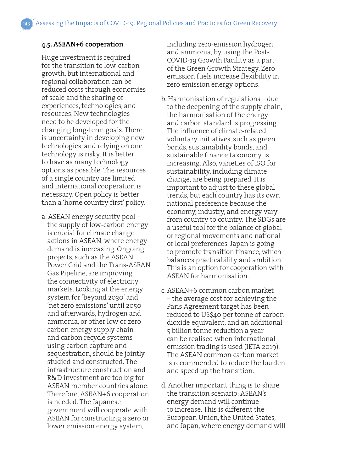#### **4.5. ASEAN+6 cooperation**

Huge investment is required for the transition to low-carbon growth, but international and regional collaboration can be reduced costs through economies of scale and the sharing of experiences, technologies, and resources. New technologies need to be developed for the changing long-term goals. There is uncertainty in developing new technologies, and relying on one technology is risky. It is better to have as many technology options as possible. The resources of a single country are limited and international cooperation is necessary. Open policy is better than a 'home country first' policy.

a. ASEAN energy security pool – the supply of low-carbon energy is crucial for climate change actions in ASEAN, where energy demand is increasing. Ongoing projects, such as the ASEAN Power Grid and the Trans-ASEAN Gas Pipeline, are improving the connectivity of electricity markets. Looking at the energy system for 'beyond 2030' and 'net zero emissions' until 2050 and afterwards, hydrogen and ammonia, or other low or zerocarbon energy supply chain and carbon recycle systems using carbon capture and sequestration, should be jointly studied and constructed. The infrastructure construction and R&D investment are too big for ASEAN member countries alone. Therefore, ASEAN+6 cooperation is needed. The Japanese government will cooperate with ASEAN for constructing a zero or lower emission energy system,

including zero-emission hydrogen and ammonia, by using the Post-COVID-19 Growth Facility as a part of the Green Growth Strategy. Zeroemission fuels increase flexibility in zero emission energy options.

- b. Harmonisation of regulations due to the deepening of the supply chain, the harmonisation of the energy and carbon standard is progressing. The influence of climate-related voluntary initiatives, such as green bonds, sustainability bonds, and sustainable finance taxonomy, is increasing. Also, varieties of ISO for sustainability, including climate change, are being prepared. It is important to adjust to these global trends, but each country has its own national preference because the economy, industry, and energy vary from country to country. The SDGs are a useful tool for the balance of global or regional movements and national or local preferences. Japan is going to promote transition finance, which balances practicability and ambition. This is an option for cooperation with ASEAN for harmonisation.
- c. ASEAN+6 common carbon market – the average cost for achieving the Paris Agreement target has been reduced to US\$40 per tonne of carbon dioxide equivalent, and an additional 5 billion tonne reduction a year can be realised when international emission trading is used (IETA 2019). The ASEAN common carbon market is recommended to reduce the burden and speed up the transition.
- d. Another important thing is to share the transition scenario: ASEAN's energy demand will continue to increase. This is different the European Union, the United States, and Japan, where energy demand will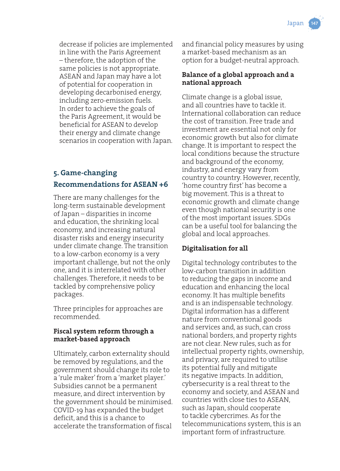decrease if policies are implemented in line with the Paris Agreement – therefore, the adoption of the same policies is not appropriate. ASEAN and Japan may have a lot of potential for cooperation in developing decarbonised energy, including zero-emission fuels. In order to achieve the goals of the Paris Agreement, it would be beneficial for ASEAN to develop their energy and climate change scenarios in cooperation with Japan.

# **5. Game-changing Recommendations for ASEAN +6**

There are many challenges for the long-term sustainable development of Japan – disparities in income and education, the shrinking local economy, and increasing natural disaster risks and energy insecurity under climate change. The transition to a low-carbon economy is a very important challenge, but not the only one, and it is interrelated with other challenges. Therefore, it needs to be tackled by comprehensive policy packages.

Three principles for approaches are recommended.

#### **Fiscal system reform through a market-based approach**

Ultimately, carbon externality should be removed by regulations, and the government should change its role to a 'rule maker' from a 'market player.' Subsidies cannot be a permanent measure, and direct intervention by the government should be minimised. COVID-19 has expanded the budget deficit, and this is a chance to accelerate the transformation of fiscal

and financial policy measures by using a market-based mechanism as an option for a budget-neutral approach.

#### **Balance of a global approach and a national approach**

Climate change is a global issue, and all countries have to tackle it. International collaboration can reduce the cost of transition. Free trade and investment are essential not only for economic growth but also for climate change. It is important to respect the local conditions because the structure and background of the economy, industry, and energy vary from country to country. However, recently, 'home country first' has become a big movement. This is a threat to economic growth and climate change even though national security is one of the most important issues. SDGs can be a useful tool for balancing the global and local approaches.

## **Digitalisation for all**

Digital technology contributes to the low-carbon transition in addition to reducing the gaps in income and education and enhancing the local economy. It has multiple benefits and is an indispensable technology. Digital information has a different nature from conventional goods and services and, as such, can cross national borders, and property rights are not clear. New rules, such as for intellectual property rights, ownership, and privacy, are required to utilise its potential fully and mitigate its negative impacts. In addition, cybersecurity is a real threat to the economy and society, and ASEAN and countries with close ties to ASEAN, such as Japan, should cooperate to tackle cybercrimes. As for the telecommunications system, this is an important form of infrastructure.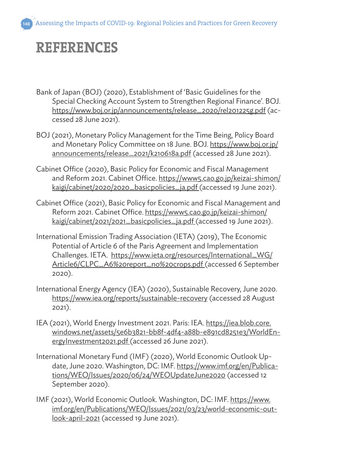# **REFERENCES**

- Bank of Japan (BOJ) (2020), Establishment of 'Basic Guidelines for the Special Checking Account System to Strengthen Regional Finance'. BOJ. https://www.boj.or.jp/announcements/release\_2020/rel201225g.pdf (accessed 28 June 2021).
- BOJ (2021), Monetary Policy Management for the Time Being, Policy Board and Monetary Policy Committee on 18 June. BOJ. https://www.boj.or.jp/ announcements/release\_2021/k210618a.pdf (accessed 28 June 2021).
- Cabinet Office (2020), Basic Policy for Economic and Fiscal Management and Reform 2021. Cabinet Office. https://www5.cao.go.jp/keizai-shimon/ kaigi/cabinet/2020/2020\_basicpolicies\_ja.pdf (accessed 19 June 2021).
- Cabinet Office (2021), Basic Policy for Economic and Fiscal Management and Reform 2021. Cabinet Office. https://www5.cao.go.jp/keizai-shimon/ kaigi/cabinet/2021/2021\_basicpolicies\_ja.pdf (accessed 19 June 2021).
- International Emission Trading Association (IETA) (2019), The Economic Potential of Article 6 of the Paris Agreement and Implementation Challenges. IETA. https://www.ieta.org/resources/International\_WG/ Article6/CLPC\_A6%20report\_no%20crops.pdf (accessed 6 September 2020).
- International Energy Agency (IEA) (2020), Sustainable Recovery, June 2020. https://www.iea.org/reports/sustainable-recovery (accessed 28 August 2021).
- IEA (2021), World Energy Investment 2021. Paris: IEA. https://iea.blob.core. windows.net/assets/5e6b3821-bb8f-4df4-a88b-e891cd8251e3/WorldEnergyInvestment2021.pdf (accessed 26 June 2021).
- International Monetary Fund (IMF) (2020), World Economic Outlook Update, June 2020. Washington, DC: IMF. https://www.imf.org/en/Publications/WEO/Issues/2020/06/24/WEOUpdateJune2020 (accessed 12 September 2020).
- IMF (2021), World Economic Outlook. Washington, DC: IMF. https://www. imf.org/en/Publications/WEO/Issues/2021/03/23/world-economic-outlook-april-2021 (accessed 19 June 2021).